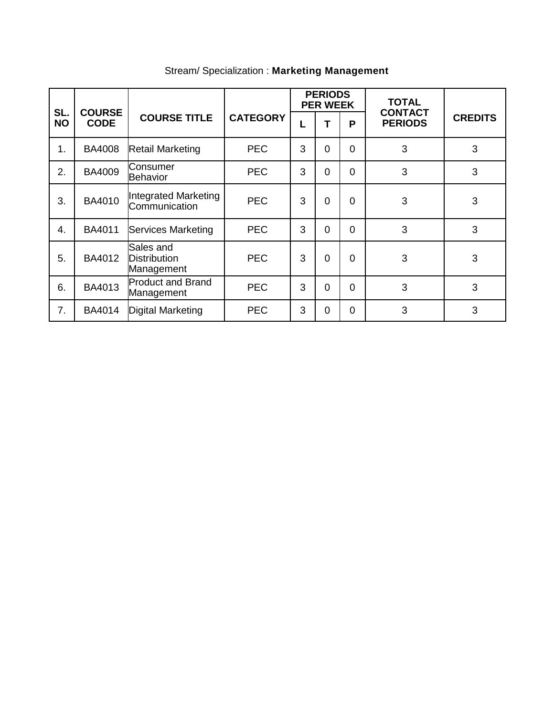| SL.       | <b>COURSE</b><br><b>CODE</b> | <b>COURSE TITLE</b>                            | <b>CATEGORY</b> | <b>PERIODS</b><br><b>PER WEEK</b> |                |                | <b>TOTAL</b><br><b>CONTACT</b> |                |
|-----------|------------------------------|------------------------------------------------|-----------------|-----------------------------------|----------------|----------------|--------------------------------|----------------|
| <b>NO</b> |                              |                                                |                 | L                                 | т              | P              | <b>PERIODS</b>                 | <b>CREDITS</b> |
| 1.        | <b>BA4008</b>                | <b>Retail Marketing</b>                        | <b>PEC</b>      | 3                                 | $\overline{0}$ | $\overline{0}$ | 3                              | 3              |
| 2.        | <b>BA4009</b>                | Consumer<br><b>Behavior</b>                    | <b>PEC</b>      | 3                                 | $\Omega$       | $\Omega$       | 3                              | 3              |
| 3.        | <b>BA4010</b>                | Integrated Marketing<br>Communication          | <b>PEC</b>      | 3                                 | $\Omega$       | $\Omega$       | 3                              | 3              |
| 4.        | BA4011                       | Services Marketing                             | <b>PEC</b>      | 3                                 | $\Omega$       | $\Omega$       | 3                              | 3              |
| 5.        | BA4012                       | Sales and<br><b>Distribution</b><br>Management | <b>PEC</b>      | 3                                 | $\Omega$       | $\Omega$       | 3                              | 3              |
| 6.        | BA4013                       | <b>Product and Brand</b><br>Management         | <b>PEC</b>      | 3                                 | $\Omega$       | $\Omega$       | 3                              | 3              |
| 7.        | <b>BA4014</b>                | <b>Digital Marketing</b>                       | <b>PEC</b>      | 3                                 | $\Omega$       | $\overline{0}$ | 3                              | 3              |

# Stream/ Specialization : **Marketing Management**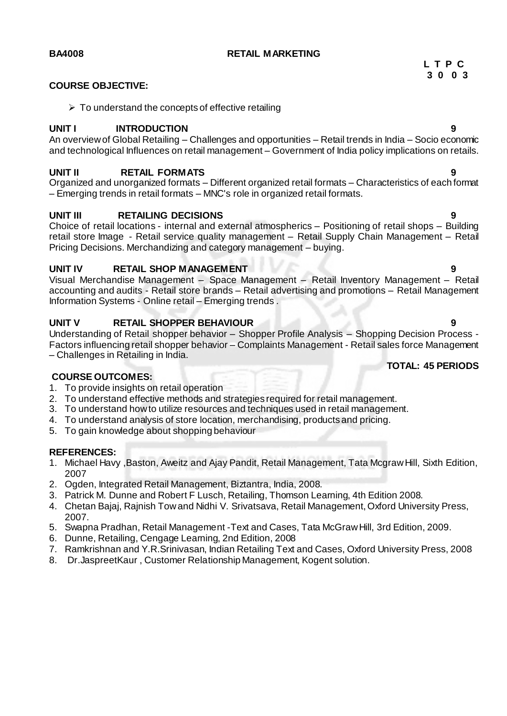### **BA4008 RETAIL MARKETING**

### **COURSE OBJECTIVE:**

 $\triangleright$  To understand the concepts of effective retailing

# **UNIT I INTRODUCTION 9**

An overview of Global Retailing – Challenges and opportunities – Retail trends in India – Socio economic and technological Influences on retail management – Government of India policy implications on retails.

# **UNIT II RETAIL FORMATS 9**

Organized and unorganized formats – Different organized retail formats – Characteristics of each format – Emerging trends in retail formats – MNC's role in organized retail formats.

# **UNIT III RETAILING DECISIONS 9**

Choice of retail locations - internal and external atmospherics – Positioning of retail shops – Building retail store Image - Retail service quality management – Retail Supply Chain Management – Retail Pricing Decisions. Merchandizing and category management – buying.

# **UNIT IV RETAIL SHOP MANAGEMENT 9**

Visual Merchandise Management – Space Management – Retail Inventory Management – Retail accounting and audits - Retail store brands – Retail advertising and promotions – Retail Management Information Systems - Online retail – Emerging trends .

# **UNIT V RETAIL SHOPPER BEHAVIOUR 9**

Understanding of Retail shopper behavior – Shopper Profile Analysis – Shopping Decision Process - Factors influencing retail shopper behavior – Complaints Management - Retail sales force Management – Challenges in Retailing in India.

# **COURSE OUTCOMES:**

- 1. To provide insights on retail operation
- 2. To understand effective methods and strategies required for retail management.
- 3. To understand how to utilize resources and techniques used in retail management.
- 4. To understand analysis of store location, merchandising, products and pricing.
- 5. To gain knowledge about shopping behaviour

### **REFERENCES:**

- 1. Michael Havy ,Baston, Aweitz and Ajay Pandit, Retail Management, Tata Mcgraw Hill, Sixth Edition, 2007
- 2. Ogden, Integrated Retail Management, Biztantra, India, 2008.
- 3. Patrick M. Dunne and Robert F Lusch, Retailing, Thomson Learning, 4th Edition 2008.
- 4. Chetan Bajaj, Rajnish Tow and Nidhi V. Srivatsava, Retail Management, Oxford University Press, 2007.
- 5. Swapna Pradhan, Retail Management -Text and Cases, Tata McGraw Hill, 3rd Edition, 2009.
- 6. Dunne, Retailing, Cengage Learning, 2nd Edition, 2008
- 7. Ramkrishnan and Y.R.Srinivasan, Indian Retailing Text and Cases, Oxford University Press, 2008
- 8. Dr.JaspreetKaur , Customer Relationship Management, Kogent solution.

 **L T P C 3 0 0 3**

### **TOTAL: 45 PERIODS**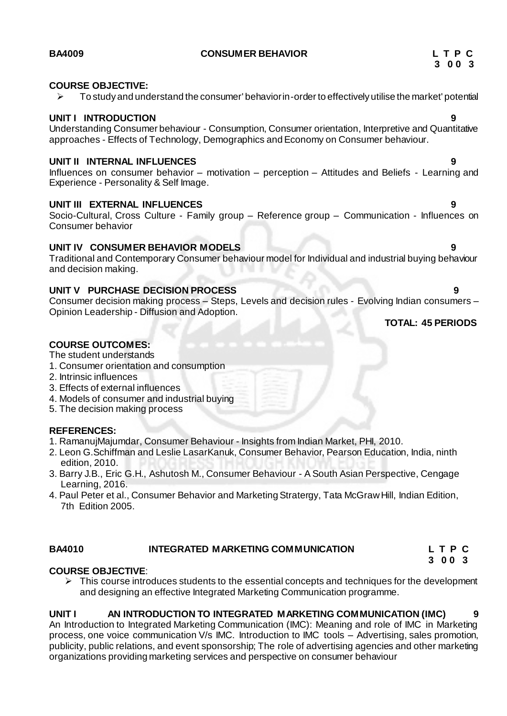### **BA4009 CONSUMER BEHAVIOR L T P C**

# **3 0 0 3**

### **COURSE OBJECTIVE:**

 $\triangleright$  To study and understand the consumer' behavior in-order to effectively utilise the market' potential

# **UNIT I INTRODUCTION 9**

Understanding Consumer behaviour - Consumption, Consumer orientation, Interpretive and Quantitative approaches - Effects of Technology, Demographics and Economy on Consumer behaviour.

# **UNIT II INTERNAL INFLUENCES 9**

Influences on consumer behavior – motivation – perception – Attitudes and Beliefs - Learning and Experience - Personality & Self Image.

# **UNIT III EXTERNAL INFLUENCES 9**

Socio-Cultural, Cross Culture - Family group – Reference group – Communication - Influences on Consumer behavior

# **UNIT IV CONSUMER BEHAVIOR MODELS**

Traditional and Contemporary Consumer behaviour model for Individual and industrial buying behaviour and decision making.

# **UNIT V PURCHASE DECISION PROCESS 9**

Consumer decision making process – Steps, Levels and decision rules - Evolving Indian consumers – Opinion Leadership - Diffusion and Adoption.

# **TOTAL: 45 PERIODS**

# **COURSE OUTCOMES:**

The student understands

# 1. Consumer orientation and consumption

- 2. Intrinsic influences
- 3. Effects of external influences
- 4. Models of consumer and industrial buying
- 5. The decision making process

# **REFERENCES:**

- 1. RamanujMajumdar, Consumer Behaviour Insights from Indian Market, PHI, 2010.
- 2. Leon G.Schiffman and Leslie LasarKanuk, Consumer Behavior, Pearson Education, India, ninth edition, 2010.
- 3. Barry J.B., Eric G.H., Ashutosh M., Consumer Behaviour A South Asian Perspective, Cengage Learning, 2016.
- 4. Paul Peter et al., Consumer Behavior and Marketing Stratergy, Tata McGraw Hill, Indian Edition, 7th Edition 2005.

# **BA4010 INTEGRATED MARKETING COMMUNICATION**

|  | LTPC |  |
|--|------|--|
|  | 3003 |  |

# **COURSE OBJECTIVE**:

 $\triangleright$  This course introduces students to the essential concepts and techniques for the development and designing an effective Integrated Marketing Communication programme.

# **UNIT I AN INTRODUCTION TO INTEGRATED MARKETING COMMUNICATION (IMC) 9**

An Introduction to Integrated Marketing Communication (IMC): Meaning and role of IMC in Marketing process, one voice communication V/s IMC. Introduction to IMC tools – Advertising, sales promotion, publicity, public relations, and event sponsorship; The role of advertising agencies and other marketing organizations providing marketing services and perspective on consumer behaviour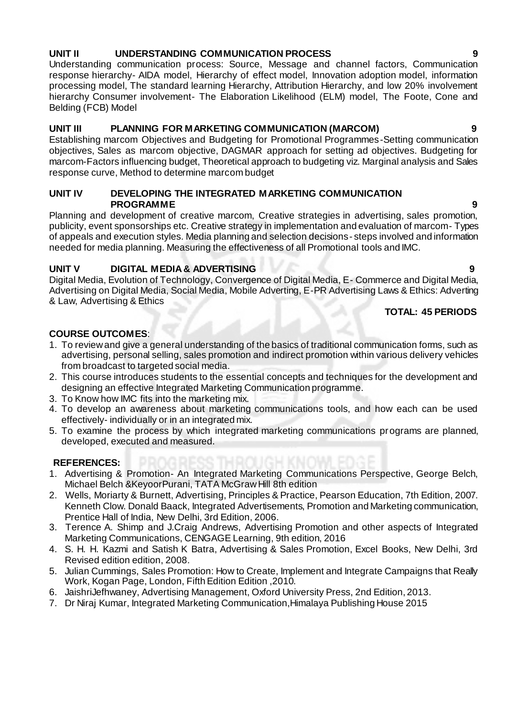# **UNIT II UNDERSTANDING COMMUNICATION PROCESS 9**

Understanding communication process: Source, Message and channel factors, Communication response hierarchy- AIDA model, Hierarchy of effect model, Innovation adoption model, information processing model, The standard learning Hierarchy, Attribution Hierarchy, and low 20% involvement hierarchy Consumer involvement- The Elaboration Likelihood (ELM) model, The Foote, Cone and Belding (FCB) Model

# **UNIT III PLANNING FOR MARKETING COMMUNICATION (MARCOM) 9**

Establishing marcom Objectives and Budgeting for Promotional Programmes-Setting communication objectives, Sales as marcom objective, DAGMAR approach for setting ad objectives. Budgeting for marcom-Factors influencing budget, Theoretical approach to budgeting viz. Marginal analysis and Sales response curve, Method to determine marcom budget

# **UNIT IV DEVELOPING THE INTEGRATED MARKETING COMMUNICATION PROGRAMME 9**

Planning and development of creative marcom, Creative strategies in advertising, sales promotion, publicity, event sponsorships etc. Creative strategy in implementation and evaluation of marcom- Types of appeals and execution styles. Media planning and selection decisions- steps involved and information needed for media planning. Measuring the effectiveness of all Promotional tools and IMC.

# **UNIT V DIGITAL MEDIA & ADVERTISING 9**

Digital Media, Evolution of Technology, Convergence of Digital Media, E- Commerce and Digital Media, Advertising on Digital Media, Social Media, Mobile Adverting, E-PR Advertising Laws & Ethics: Adverting & Law, Advertising & Ethics

# **TOTAL: 45 PERIODS**

# **COURSE OUTCOMES**:

- 1. To review and give a general understanding of the basics of traditional communication forms, such as advertising, personal selling, sales promotion and indirect promotion within various delivery vehicles from broadcast to targeted social media.
- 2. This course introduces students to the essential concepts and techniques for the development and designing an effective Integrated Marketing Communication programme.
- 3. To Know how IMC fits into the marketing mix.
- 4. To develop an awareness about marketing communications tools, and how each can be used effectively- individually or in an integrated mix.
- 5. To examine the process by which integrated marketing communications programs are planned, developed, executed and measured.

- 1. Advertising & Promotion- An Integrated Marketing Communications Perspective, George Belch, Michael Belch &KeyoorPurani, TATA McGraw Hill 8th edition
- 2. Wells, Moriarty & Burnett, Advertising, Principles & Practice, Pearson Education, 7th Edition, 2007. Kenneth Clow. Donald Baack, Integrated Advertisements, Promotion and Marketing communication, Prentice Hall of India, New Delhi, 3rd Edition, 2006.
- 3. Terence A. Shimp and J.Craig Andrews, Advertising Promotion and other aspects of Integrated Marketing Communications, CENGAGE Learning, 9th edition, 2016
- 4. S. H. H. Kazmi and Satish K Batra, Advertising & Sales Promotion, Excel Books, New Delhi, 3rd Revised edition edition, 2008.
- 5. Julian Cummings, Sales Promotion: How to Create, Implement and Integrate Campaigns that Really Work, Kogan Page, London, Fifth Edition Edition ,2010.
- 6. JaishriJefhwaney, Advertising Management, Oxford University Press, 2nd Edition, 2013.
- 7. Dr Niraj Kumar, Integrated Marketing Communication,Himalaya Publishing House 2015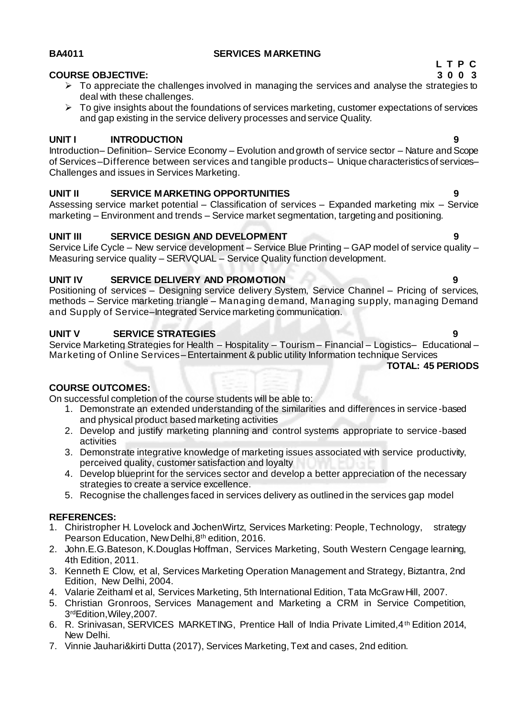# **BA4011 SERVICES MARKETING**

# **COURSE OBJECTIVE: 3 0 0 3**

- $\triangleright$  To appreciate the challenges involved in managing the services and analyse the strategies to deal with these challenges.
- $\triangleright$  To give insights about the foundations of services marketing, customer expectations of services and gap existing in the service delivery processes and service Quality.

# **UNIT I INTRODUCTION 9**

Introduction– Definition– Service Economy – Evolution and growth of service sector – Nature and Scope of Services –Difference between services and tangible products– Unique characteristics of services– Challenges and issues in Services Marketing.

# **UNIT II SERVICE MARKETING OPPORTUNITIES 9**

Assessing service market potential – Classification of services – Expanded marketing mix – Service marketing – Environment and trends – Service market segmentation, targeting and positioning.

# **UNIT III SERVICE DESIGN AND DEVELOPMENT 9**

Service Life Cycle – New service development – Service Blue Printing – GAP model of service quality – Measuring service quality – SERVQUAL – Service Quality function development.

# **UNIT IV SERVICE DELIVERY AND PROMOTION 9**

Positioning of services – Designing service delivery System, Service Channel – Pricing of services, methods – Service marketing triangle – Managing demand, Managing supply, managing Demand and Supply of Service–Integrated Service marketing communication.

# **UNIT V SERVICE STRATEGIES** 9

Service Marketing Strategies for Health – Hospitality – Tourism – Financial – Logistics– Educational – Marketing of Online Services–Entertainment & public utility Information technique Services

# **TOTAL: 45 PERIODS**

# **COURSE OUTCOMES:**

On successful completion of the course students will be able to:

- 1. Demonstrate an extended understanding of the similarities and differences in service-based and physical product based marketing activities
- 2. Develop and justify marketing planning and control systems appropriate to service-based activities
- 3. Demonstrate integrative knowledge of marketing issues associated with service productivity, perceived quality, customer satisfaction and loyalty
- 4. Develop blueprint for the services sector and develop a better appreciation of the necessary strategies to create a service excellence.
- 5. Recognise the challenges faced in services delivery as outlined in the services gap model

# **REFERENCES:**

- 1. Chiristropher H. Lovelock and JochenWirtz, Services Marketing: People, Technology, strategy Pearson Education, New Delhi, 8<sup>th</sup> edition, 2016.
- 2. John.E.G.Bateson, K.Douglas Hoffman, Services Marketing, South Western Cengage learning, 4th Edition, 2011.
- 3. Kenneth E Clow, et al, Services Marketing Operation Management and Strategy, Biztantra, 2nd Edition, New Delhi, 2004.
- 4. Valarie Zeithaml et al, Services Marketing, 5th International Edition, Tata McGraw Hill, 2007.
- 5. Christian Gronroos, Services Management and Marketing a CRM in Service Competition, 3 rdEdition,Wiley,2007.
- 6. R. Srinivasan, SERVICES MARKETING, Prentice Hall of India Private Limited,4th Edition 2014, New Delhi.
- 7. Vinnie Jauhari&kirti Dutta (2017), Services Marketing, Text and cases, 2nd edition.

# **L T P C**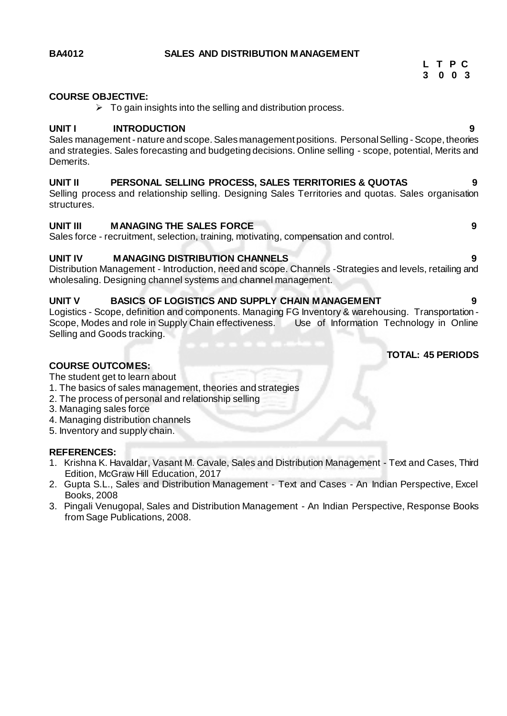### **BA4012 SALES AND DISTRIBUTION MANAGEMENT**

### **L T P C 3 0 0 3**

# **COURSE OBJECTIVE:**

 $\triangleright$  To gain insights into the selling and distribution process.

# **UNIT I INTRODUCTION 9**

Sales management - nature and scope. Sales management positions. Personal Selling - Scope, theories and strategies. Sales forecasting and budgeting decisions. Online selling - scope, potential, Merits and Demerits.

# **UNIT II PERSONAL SELLING PROCESS, SALES TERRITORIES & QUOTAS 9**

Selling process and relationship selling. Designing Sales Territories and quotas. Sales organisation structures.

# **UNIT III MANAGING THE SALES FORCE 9**

Sales force - recruitment, selection, training, motivating, compensation and control.

# **UNIT IV MANAGING DISTRIBUTION CHANNELS 9**

Distribution Management - Introduction, need and scope. Channels -Strategies and levels, retailing and wholesaling. Designing channel systems and channel management.

# **UNIT V BASICS OF LOGISTICS AND SUPPLY CHAIN MANAGEMENT 9**

Logistics - Scope, definition and components. Managing FG Inventory & warehousing. Transportation - Scope, Modes and role in Supply Chain effectiveness. Use of Information Technology in Online Selling and Goods tracking.

**TOTAL: 45 PERIODS** 

# **COURSE OUTCOMES:**

The student get to learn about

- 1. The basics of sales management, theories and strategies
- 2. The process of personal and relationship selling
- 3. Managing sales force
- 4. Managing distribution channels
- 5. Inventory and supply chain.

- 1. Krishna K. Havaldar, Vasant M. Cavale, Sales and Distribution Management Text and Cases, Third Edition, McGraw Hill Education, 2017
- 2. Gupta S.L., Sales and Distribution Management Text and Cases An Indian Perspective, Excel Books, 2008
- 3. Pingali Venugopal, Sales and Distribution Management An Indian Perspective, Response Books from Sage Publications, 2008.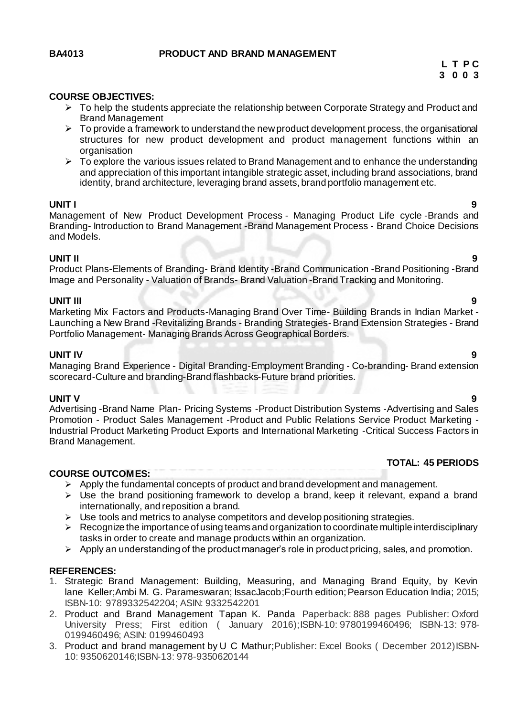# **BA4013 PRODUCT AND BRAND MANAGEMENT**

### **COURSE OBJECTIVES:**

- $\triangleright$  To help the students appreciate the relationship between Corporate Strategy and Product and Brand Management
- $\triangleright$  To provide a framework to understand the new product development process, the organisational structures for new product development and product management functions within an organisation
- $\triangleright$  To explore the various issues related to Brand Management and to enhance the understanding and appreciation of this important intangible strategic asset, including brand associations, brand identity, brand architecture, leveraging brand assets, brand portfolio management etc.

# **UNIT I 9**

Management of New Product Development Process - Managing Product Life cycle -Brands and Branding- Introduction to Brand Management -Brand Management Process - Brand Choice Decisions and Models.

# **UNIT II 9**

Product Plans-Elements of Branding- Brand Identity -Brand Communication -Brand Positioning -Brand Image and Personality - Valuation of Brands- Brand Valuation -Brand Tracking and Monitoring.

# **UNIT III 9**

Marketing Mix Factors and Products-Managing Brand Over Time- Building Brands in Indian Market - Launching a New Brand -Revitalizing Brands - Branding Strategies-Brand Extension Strategies - Brand Portfolio Management- Managing Brands Across Geographical Borders.

# **UNIT IV 9**

Managing Brand Experience - Digital Branding-Employment Branding - Co-branding- Brand extension scorecard-Culture and branding-Brand flashbacks-Future brand priorities.

**UNIT V 9** Advertising -Brand Name Plan- Pricing Systems -Product Distribution Systems -Advertising and Sales Promotion - Product Sales Management -Product and Public Relations Service Product Marketing - Industrial Product Marketing Product Exports and International Marketing -Critical Success Factors in Brand Management.

# **TOTAL: 45 PERIODS**

# **COURSE OUTCOMES:**

- $\triangleright$  Apply the fundamental concepts of product and brand development and management.
- $\triangleright$  Use the brand positioning framework to develop a brand, keep it relevant, expand a brand internationally, and reposition a brand.
- $\triangleright$  Use tools and metrics to analyse competitors and develop positioning strategies.
- $\triangleright$  Recognize the importance of using teams and organization to coordinate multiple interdisciplinary tasks in order to create and manage products within an organization.
- $\triangleright$  Apply an understanding of the product manager's role in product pricing, sales, and promotion.

- 1. Strategic Brand Management: Building, Measuring, and Managing Brand Equity, by Kevin lane [Keller;Ambi M. G. Parameswaran; IssacJacob;](https://www.amazon.in/s/ref=dp_byline_sr_book_1?ie=UTF8&field-author=Keller%2F+Parameswaran%2F+Jacob&search-alias=stripbooks)Fourth edition; Pearson Education India; 2015; ISBN-10: 9789332542204; ASIN: 9332542201
- 2. Product and Brand Management Tapan K. Panda Paperback: 888 pages Publisher: Oxford University Press; First edition ( January 2016);ISBN-10: 9780199460496; ISBN-13: 978- 0199460496; ASIN: 0199460493
- 3. Product and brand management by [U C Mathur;](https://www.amazon.in/s/ref=dp_byline_sr_ebooks_1?ie=UTF8&text=U+C+Mathur&search-alias=digital-text&field-author=U+C+Mathur&sort=relevancerank)Publisher: Excel Books ( December 2012)ISBN-10: 9350620146;ISBN-13: 978-9350620144